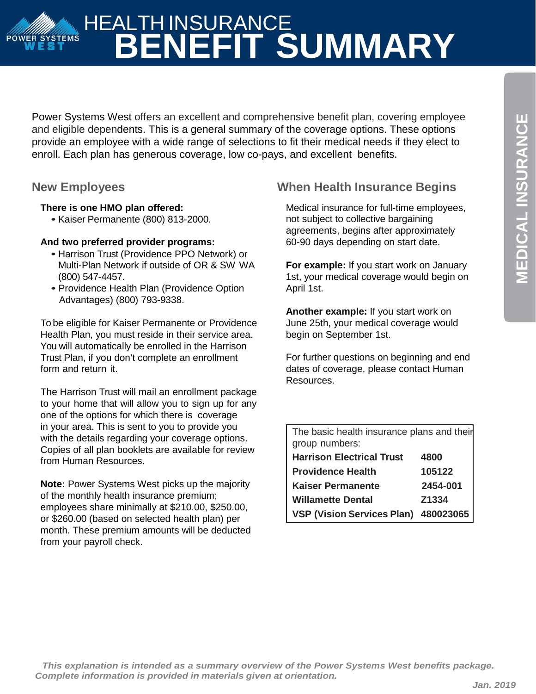# HEALTH INSURANCE **ANG ANG POWER SYSTEMS BENEFIT SUMMARY**

Power Systems West offers an excellent and comprehensive benefit plan, covering employee and eligible dependents. This is a general summary of the coverage options. These options provide an employee with a wide range of selections to fit their medical needs if they elect to enroll. Each plan has generous coverage, low co-pays, and excellent benefits.

### **There is one HMO plan offered:**

• Kaiser Permanente (800) 813-2000.

### **And two preferred provider programs:**

- Harrison Trust (Providence PPO Network) or Multi-Plan Network if outside of OR & SW WA (800) 547-4457.
- Providence Health Plan (Providence Option Advantages) (800) 793-9338.

To be eligible for Kaiser Permanente or Providence Health Plan, you must reside in their service area. You will automatically be enrolled in the Harrison Trust Plan, if you don't complete an enrollment form and return it.

The Harrison Trust will mail an enrollment package to your home that will allow you to sign up for any one of the options for which there is coverage in your area. This is sent to you to provide you with the details regarding your coverage options. Copies of all plan booklets are available for review from Human Resources.

**Note:** Power Systems West picks up the majority of the monthly health insurance premium; employees share minimally at \$210.00, \$250.00, or \$260.00 (based on selected health plan) per month. These premium amounts will be deducted from your payroll check.

# **New Employees When Health Insurance Begins**

Medical insurance for full-time employees, not subject to collective bargaining agreements, begins after approximately 60-90 days depending on start date.

**For example:** If you start work on January 1st, your medical coverage would begin on April 1st.

**Another example:** If you start work on June 25th, your medical coverage would begin on September 1st.

For further questions on beginning and end dates of coverage, please contact Human Resources.

| The basic health insurance plans and their |          |  |  |
|--------------------------------------------|----------|--|--|
| group numbers:                             |          |  |  |
| <b>Harrison Electrical Trust</b>           | 4800     |  |  |
| <b>Providence Health</b>                   | 105122   |  |  |
| <b>Kaiser Permanente</b>                   | 2454-001 |  |  |
| <b>Willamette Dental</b>                   | Z1334    |  |  |
| VSP (Vision Services Plan) 480023065       |          |  |  |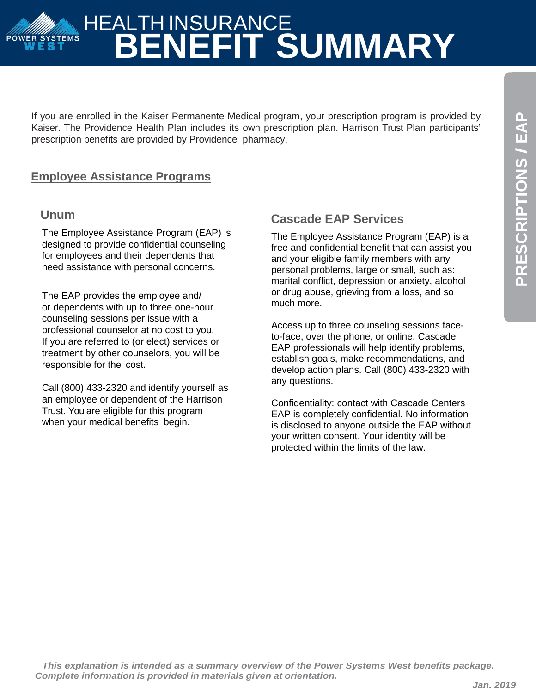# **PRESCRIPTIONS**  PRESCRIPTIONS / EAP

# HEALTH INSURANCE **POWER SYSTEMS BENEFIT SUMMARY**

If you are enrolled in the Kaiser Permanente Medical program, your prescription program is provided by Kaiser. The Providence Health Plan includes its own prescription plan. Harrison Trust Plan participants' prescription benefits are provided by Providence pharmacy.

## **Employee Assistance Programs**

### **Unum**

The Employee Assistance Program (EAP) is designed to provide confidential counseling for employees and their dependents that need assistance with personal concerns.

The EAP provides the employee and/ or dependents with up to three one-hour counseling sessions per issue with a professional counselor at no cost to you. If you are referred to (or elect) services or treatment by other counselors, you will be responsible for the cost.

Call (800) 433-2320 and identify yourself as an employee or dependent of the Harrison Trust. You are eligible for this program when your medical benefits begin.

# **Cascade EAP Services**

The Employee Assistance Program (EAP) is a free and confidential benefit that can assist you and your eligible family members with any personal problems, large or small, such as: marital conflict, depression or anxiety, alcohol or drug abuse, grieving from a loss, and so much more.

Access up to three counseling sessions faceto-face, over the phone, or online. Cascade EAP professionals will help identify problems, establish goals, make recommendations, and develop action plans. Call (800) 433-2320 with any questions.

Confidentiality: contact with Cascade Centers EAP is completely confidential. No information is disclosed to anyone outside the EAP without your written consent. Your identity will be protected within the limits of the law.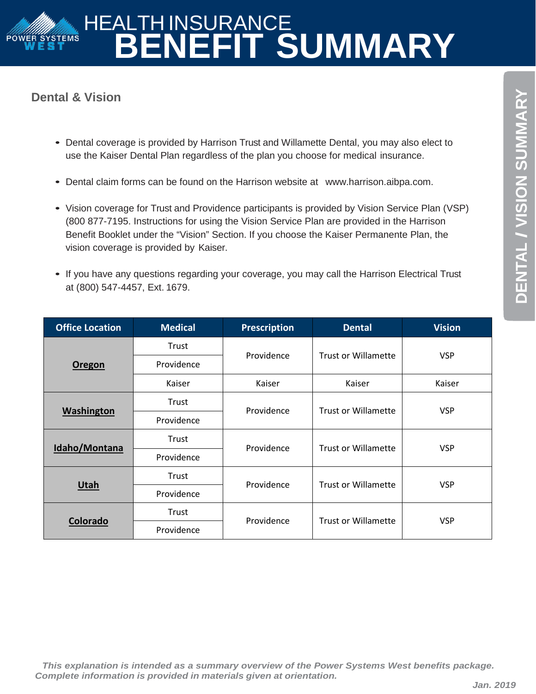# HEALTH INSURANCE **POWER SYSTEMS BENEFIT SUMMARY**

# **Dental & Vision**

- Dental coverage is provided by Harrison Trust and Willamette Dental, you may also elect to use the Kaiser Dental Plan regardless of the plan you choose for medical insurance.
- Dental claim forms can be found on the Harrison website at [www.harrison.aibpa.com.](http://www.harrison.aibpa.com/)
- Vision coverage for Trust and Providence participants is provided by Vision Service Plan (VSP) (800 877-7195. Instructions for using the Vision Service Plan are provided in the Harrison Benefit Booklet under the "Vision" Section. If you choose the Kaiser Permanente Plan, the vision coverage is provided by Kaiser.
- If you have any questions regarding your coverage, you may call the Harrison Electrical Trust at (800) 547-4457, Ext. 1679.

| <b>Office Location</b> | <b>Medical</b> | <b>Prescription</b> | <b>Dental</b>              | <b>Vision</b> |
|------------------------|----------------|---------------------|----------------------------|---------------|
| Oregon                 | Trust          |                     | <b>Trust or Willamette</b> | <b>VSP</b>    |
|                        | Providence     | Providence          |                            |               |
|                        | Kaiser         | Kaiser              | Kaiser                     | Kaiser        |
| <b>Washington</b>      | Trust          | Providence          | <b>Trust or Willamette</b> | <b>VSP</b>    |
|                        | Providence     |                     |                            |               |
| Idaho/Montana          | Trust          | Providence          | <b>Trust or Willamette</b> | <b>VSP</b>    |
|                        | Providence     |                     |                            |               |
| <b>Utah</b>            | Trust          | Providence          | <b>Trust or Willamette</b> | <b>VSP</b>    |
|                        | Providence     |                     |                            |               |
| Colorado               | Trust          | Providence          | <b>Trust or Willamette</b> | <b>VSP</b>    |
|                        | Providence     |                     |                            |               |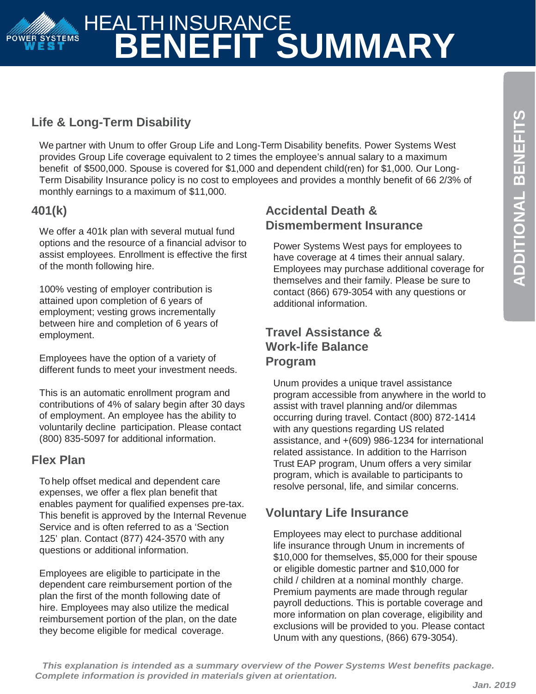# HEALTH INSURANCE POWER SYSTEMS **BENEFIT SUMMARY**

# **Life & Long-Term Disability**

We partner with Unum to offer Group Life and Long-Term Disability benefits. Power Systems West provides Group Life coverage equivalent to 2 times the employee's annual salary to a maximum benefit of \$500,000. Spouse is covered for \$1,000 and dependent child(ren) for \$1,000. Our Long-Term Disability Insurance policy is no cost to employees and provides a monthly benefit of 66 2/3% of monthly earnings to a maximum of \$11,000.

# **401(k)**

We offer a 401k plan with several mutual fund options and the resource of a financial advisor to assist employees. Enrollment is effective the first of the month following hire.

100% vesting of employer contribution is attained upon completion of 6 years of employment; vesting grows incrementally between hire and completion of 6 years of employment.

Employees have the option of a variety of different funds to meet your investment needs.

This is an automatic enrollment program and contributions of 4% of salary begin after 30 days of employment. An employee has the ability to voluntarily decline participation. Please contact (800) 835-5097 for additional information.

### **Flex Plan**

To help offset medical and dependent care expenses, we offer a flex plan benefit that enables payment for qualified expenses pre-tax. This benefit is approved by the Internal Revenue Service and is often referred to as a 'Section 125' plan. Contact (877) 424-3570 with any questions or additional information.

Employees are eligible to participate in the dependent care reimbursement portion of the plan the first of the month following date of hire. Employees may also utilize the medical reimbursement portion of the plan, on the date they become eligible for medical coverage.

# **Accidental Death & Dismemberment Insurance**

Power Systems West pays for employees to have coverage at 4 times their annual salary. Employees may purchase additional coverage for themselves and their family. Please be sure to contact (866) 679-3054 with any questions or additional information.

# **Travel Assistance & Work-life Balance Program**

Unum provides a unique travel assistance program accessible from anywhere in the world to assist with travel planning and/or dilemmas occurring during travel. Contact (800) 872-1414 with any questions regarding US related assistance, and +(609) 986-1234 for international related assistance. In addition to the Harrison Trust EAP program, Unum offers a very similar program, which is available to participants to resolve personal, life, and similar concerns.

# **Voluntary Life Insurance**

Employees may elect to purchase additional life insurance through Unum in increments of \$10,000 for themselves, \$5,000 for their spouse or eligible domestic partner and \$10,000 for child / children at a nominal monthly charge. Premium payments are made through regular payroll deductions. This is portable coverage and more information on plan coverage, eligibility and exclusions will be provided to you. Please contact Unum with any questions, (866) 679-3054).

*This explanation is intended as a summary overview of the Power Systems West benefits package. Complete information is provided in materials given at orientation.*